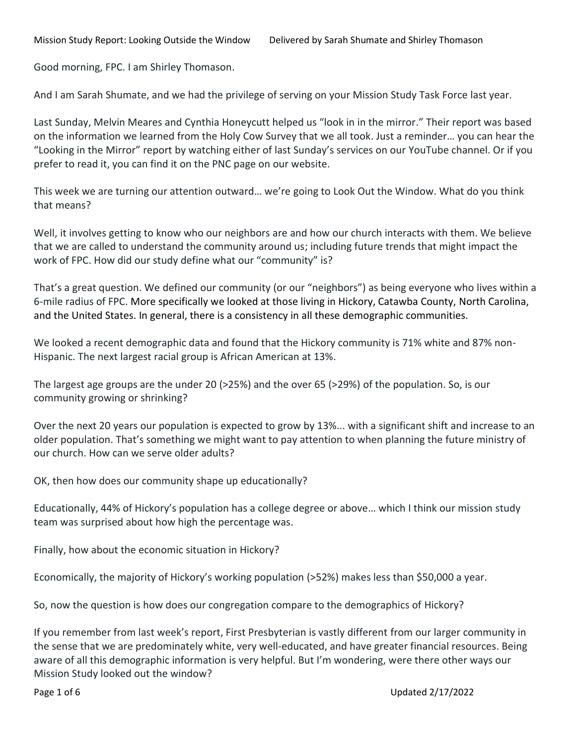Mission Study Report: Looking Outside the Window Delivered by Sarah Shumate and Shirley Thomason

Good morning, FPC. I am Shirley Thomason.

And I am Sarah Shumate, and we had the privilege of serving on your Mission Study Task Force last year.

Last Sunday, Melvin Meares and Cynthia Honeycutt helped us "look in in the mirror." Their report was based on the information we learned from the Holy Cow Survey that we all took. Just a reminder… you can hear the "Looking in the Mirror" report by watching either of last Sunday's services on our YouTube channel. Or if you prefer to read it, you can find it on the PNC page on our website.

This week we are turning our attention outward… we're going to Look Out the Window. What do you think that means?

Well, it involves getting to know who our neighbors are and how our church interacts with them. We believe that we are called to understand the community around us; including future trends that might impact the work of FPC. How did our study define what our "community" is?

That's a great question. We defined our community (or our "neighbors") as being everyone who lives within a 6-mile radius of FPC. More specifically we looked at those living in Hickory, Catawba County, North Carolina, and the United States. In general, there is a consistency in all these demographic communities.

We looked a recent demographic data and found that the Hickory community is 71% white and 87% non-Hispanic. The next largest racial group is African American at 13%.

The largest age groups are the under 20 (>25%) and the over 65 (>29%) of the population. So, is our community growing or shrinking?

Over the next 20 years our population is expected to grow by 13%... with a significant shift and increase to an older population. That's something we might want to pay attention to when planning the future ministry of our church. How can we serve older adults?

OK, then how does our community shape up educationally?

Educationally, 44% of Hickory's population has a college degree or above… which I think our mission study team was surprised about how high the percentage was.

Finally, how about the economic situation in Hickory?

Economically, the majority of Hickory's working population (>52%) makes less than \$50,000 a year.

So, now the question is how does our congregation compare to the demographics of Hickory?

If you remember from last week's report, First Presbyterian is vastly different from our larger community in the sense that we are predominately white, very well-educated, and have greater financial resources. Being aware of all this demographic information is very helpful. But I'm wondering, were there other ways our Mission Study looked out the window?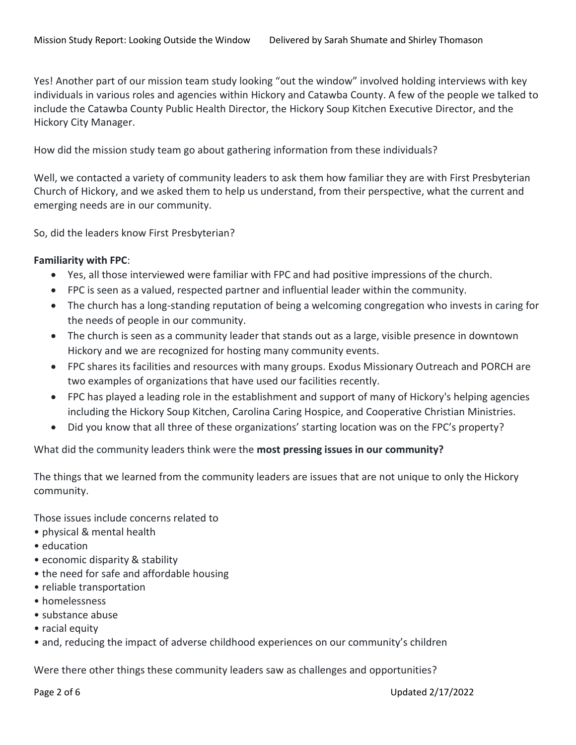Yes! Another part of our mission team study looking "out the window" involved holding interviews with key individuals in various roles and agencies within Hickory and Catawba County. A few of the people we talked to include the Catawba County Public Health Director, the Hickory Soup Kitchen Executive Director, and the Hickory City Manager.

How did the mission study team go about gathering information from these individuals?

Well, we contacted a variety of community leaders to ask them how familiar they are with First Presbyterian Church of Hickory, and we asked them to help us understand, from their perspective, what the current and emerging needs are in our community.

So, did the leaders know First Presbyterian?

## **Familiarity with FPC**:

- Yes, all those interviewed were familiar with FPC and had positive impressions of the church.
- FPC is seen as a valued, respected partner and influential leader within the community.
- The church has a long-standing reputation of being a welcoming congregation who invests in caring for the needs of people in our community.
- The church is seen as a community leader that stands out as a large, visible presence in downtown Hickory and we are recognized for hosting many community events.
- FPC shares its facilities and resources with many groups. Exodus Missionary Outreach and PORCH are two examples of organizations that have used our facilities recently.
- FPC has played a leading role in the establishment and support of many of Hickory's helping agencies including the Hickory Soup Kitchen, Carolina Caring Hospice, and Cooperative Christian Ministries.
- Did you know that all three of these organizations' starting location was on the FPC's property?

## What did the community leaders think were the **most pressing issues in our community?**

The things that we learned from the community leaders are issues that are not unique to only the Hickory community.

Those issues include concerns related to

- physical & mental health
- education
- economic disparity & stability
- the need for safe and affordable housing
- reliable transportation
- homelessness
- substance abuse
- racial equity
- and, reducing the impact of adverse childhood experiences on our community's children

Were there other things these community leaders saw as challenges and opportunities?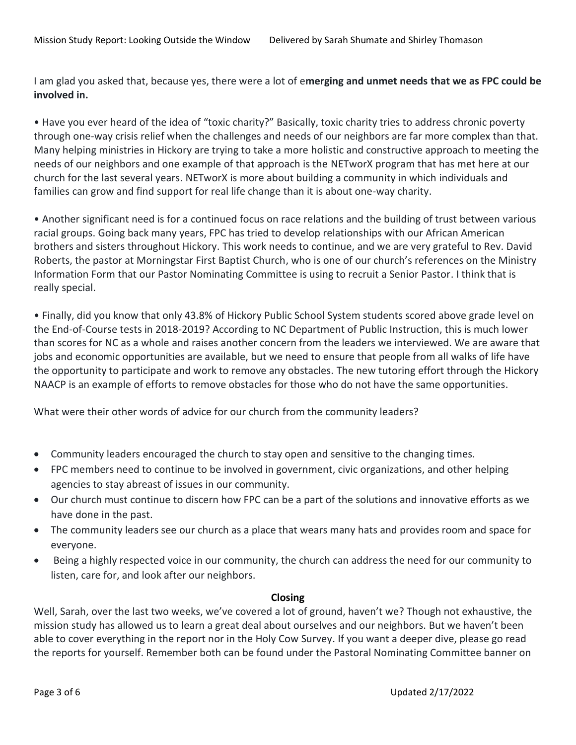I am glad you asked that, because yes, there were a lot of e**merging and unmet needs that we as FPC could be involved in.** 

• Have you ever heard of the idea of "toxic charity?" Basically, toxic charity tries to address chronic poverty through one-way crisis relief when the challenges and needs of our neighbors are far more complex than that. Many helping ministries in Hickory are trying to take a more holistic and constructive approach to meeting the needs of our neighbors and one example of that approach is the NETworX program that has met here at our church for the last several years. NETworX is more about building a community in which individuals and families can grow and find support for real life change than it is about one-way charity.

• Another significant need is for a continued focus on race relations and the building of trust between various racial groups. Going back many years, FPC has tried to develop relationships with our African American brothers and sisters throughout Hickory. This work needs to continue, and we are very grateful to Rev. David Roberts, the pastor at Morningstar First Baptist Church, who is one of our church's references on the Ministry Information Form that our Pastor Nominating Committee is using to recruit a Senior Pastor. I think that is really special.

• Finally, did you know that only 43.8% of Hickory Public School System students scored above grade level on the End-of-Course tests in 2018-2019? According to NC Department of Public Instruction, this is much lower than scores for NC as a whole and raises another concern from the leaders we interviewed. We are aware that jobs and economic opportunities are available, but we need to ensure that people from all walks of life have the opportunity to participate and work to remove any obstacles. The new tutoring effort through the Hickory NAACP is an example of efforts to remove obstacles for those who do not have the same opportunities.

What were their other words of advice for our church from the community leaders?

- Community leaders encouraged the church to stay open and sensitive to the changing times.
- FPC members need to continue to be involved in government, civic organizations, and other helping agencies to stay abreast of issues in our community.
- Our church must continue to discern how FPC can be a part of the solutions and innovative efforts as we have done in the past.
- The community leaders see our church as a place that wears many hats and provides room and space for everyone.
- Being a highly respected voice in our community, the church can address the need for our community to listen, care for, and look after our neighbors.

## **Closing**

Well, Sarah, over the last two weeks, we've covered a lot of ground, haven't we? Though not exhaustive, the mission study has allowed us to learn a great deal about ourselves and our neighbors. But we haven't been able to cover everything in the report nor in the Holy Cow Survey. If you want a deeper dive, please go read the reports for yourself. Remember both can be found under the Pastoral Nominating Committee banner on